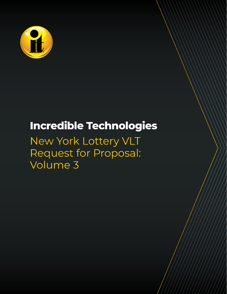

# **Incredible Technologies**

## New York Lottery VLT Request for Proposal: Volume 3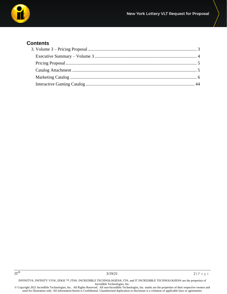

#### **Contents**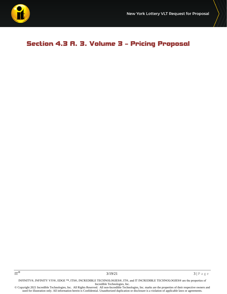

## <span id="page-2-0"></span>Section 4.3 A. 3. Volume 3 – Pricing Proposal

INFINITY®, INFINITY V55®, EDGE ™, ITS®, INCREDIBLE TECHNOLOGIES®, IT®, and IT INCREDIBLE TECHNOLOGIES® are the properties of Incredible Technologies, Inc.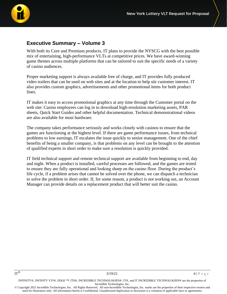

### <span id="page-3-0"></span>**Executive Summary – Volume 3**

With both its Core and Premium products, IT plans to provide the NYSCG with the best possible mix of entertaining, high-performance VLTs at competitive prices. We have award-winning game themes across multiple platforms that can be tailored to suit the specific needs of a variety of casino audiences.

Proper marketing support is always available free of charge, and IT provides fully produced video trailers that can be used on web sites and at the location to help stir customer interest. IT also provides custom graphics, advertisements and other promotional items for both product lines.

IT makes it easy to access promotional graphics at any time through the Customer portal on the web site: Casino employees can log in to download high-resolution marketing assets, PAR sheets, Quick Start Guides and other helpful documentation. Technical demonstrational videos are also available for most hardware.

The company takes performance seriously and works closely with casinos to ensure that the games are functioning at the highest level. If there are game performance issues, from technical problems to low earnings, IT escalates the issue quickly to senior management. One of the chief benefits of being a smaller company, is that problems on any level can be brought to the attention of qualified experts in short order to make sure a resolution is quickly provided.

IT field technical support and remote technical support are available from beginning to end, day and night. When a product is installed, careful processes are followed, and the games are tested to ensure they are fully operational and looking sharp on the casino floor. During the product's life cycle, if a problem arises that cannot be solved over the phone, we can dispatch a technician to solve the problem in short order. If, for some reason, a product is not working out, an Account Manager can provide details on a replacement product that will better suit the casino.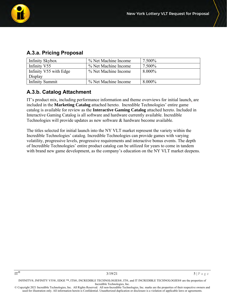

| Infinity Skybox        | % Net Machine Income | 7.500%    |
|------------------------|----------------------|-----------|
| Infinity V55           | % Net Machine Income | 7.500%    |
| Infinity V55 with Edge | % Net Machine Income | 8.000%    |
| Display                |                      |           |
| <b>Infinity Summit</b> | % Net Machine Income | $8.000\%$ |

## **A.3.a. Pricing Proposal**

## **A.3.b. Catalog Attachment**

IT's product mix, including performance information and theme overviews for initial launch, are included in the **Marketing Catalog** attached hereto. Incredible Technologies' entire game catalog is available for review as the **Interactive Gaming Catalog** attached hereto. Included in Interactive Gaming Catalog is all software and hardware currently available. Incredible Technologies will provide updates as new software & hardware become available.

The titles selected for initial launch into the NY VLT market represent the variety within the Incredible Technologies' catalog. Incredible Technologies can provide games with varying volatility, progressive levels, progressive requirements and interactive bonus events. The depth of Incredible Technologies' entire product catalog can be utilized for years to come in tandem with brand new game development, as the company's education on the NY VLT market deepens.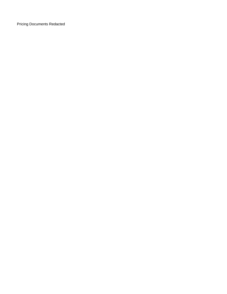**Pricing Documents Redacted**